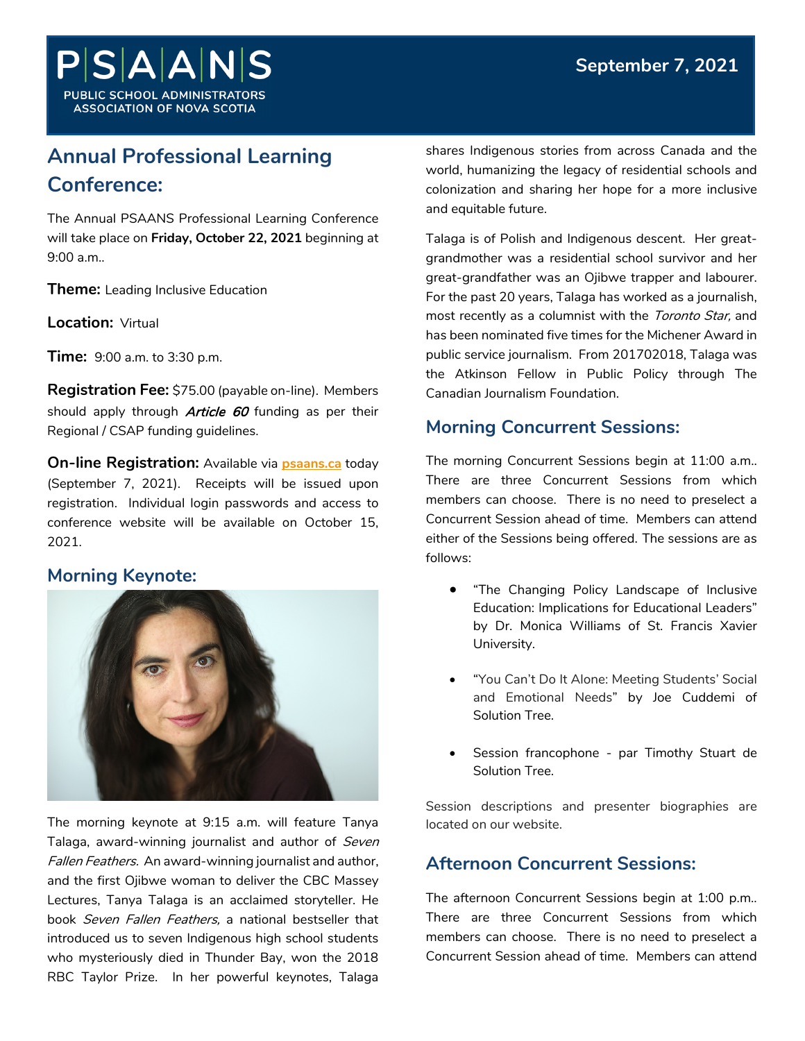

# **Annual Professional Learning Conference:**

The Annual PSAANS Professional Learning Conference will take place on **Friday, October 22, 2021** beginning at 9:00 a.m..

**Theme:** Leading Inclusive Education

**Location:** Virtual

**Time:** 9:00 a.m. to 3:30 p.m.

**Registration Fee:** \$75.00 (payable on-line). Members should apply through **Article 60** funding as per their Regional / CSAP funding guidelines.

**On-line Registration:** Available via **[psaans.ca](https://www.psaans.ca/news/leading-inclusive-education-professional-learning-conference-2021)** today (September 7, 2021). Receipts will be issued upon registration. Individual login passwords and access to conference website will be available on October 15, 2021.

# **Morning Keynote:**



The morning keynote at 9:15 a.m. will feature Tanya Talaga, award-winning journalist and author of Seven Fallen Feathers. An award-winning journalist and author, and the first Ojibwe woman to deliver the CBC Massey Lectures, Tanya Talaga is an acclaimed storyteller. He book Seven Fallen Feathers, a national bestseller that introduced us to seven Indigenous high school students who mysteriously died in Thunder Bay, won the 2018 RBC Taylor Prize. In her powerful keynotes, Talaga

shares Indigenous stories from across Canada and the world, humanizing the legacy of residential schools and colonization and sharing her hope for a more inclusive and equitable future.

Talaga is of Polish and Indigenous descent. Her greatgrandmother was a residential school survivor and her great-grandfather was an Ojibwe trapper and labourer. For the past 20 years, Talaga has worked as a journalish, most recently as a columnist with the Toronto Star, and has been nominated five times for the Michener Award in public service journalism. From 201702018, Talaga was the Atkinson Fellow in Public Policy through The Canadian Journalism Foundation.

# **Morning Concurrent Sessions:**

The morning Concurrent Sessions begin at 11:00 a.m.. There are three Concurrent Sessions from which members can choose. There is no need to preselect a Concurrent Session ahead of time. Members can attend either of the Sessions being offered. The sessions are as follows:

- "The Changing Policy Landscape of Inclusive Education: Implications for Educational Leaders" by Dr. Monica Williams of St. Francis Xavier University.
- "You Can't Do It Alone: Meeting Students' Social and Emotional Needs" by Joe Cuddemi of Solution Tree.
- Session francophone par Timothy Stuart de Solution Tree.

Session descriptions and presenter biographies are located on our website.

# **Afternoon Concurrent Sessions:**

The afternoon Concurrent Sessions begin at 1:00 p.m.. There are three Concurrent Sessions from which members can choose. There is no need to preselect a Concurrent Session ahead of time. Members can attend